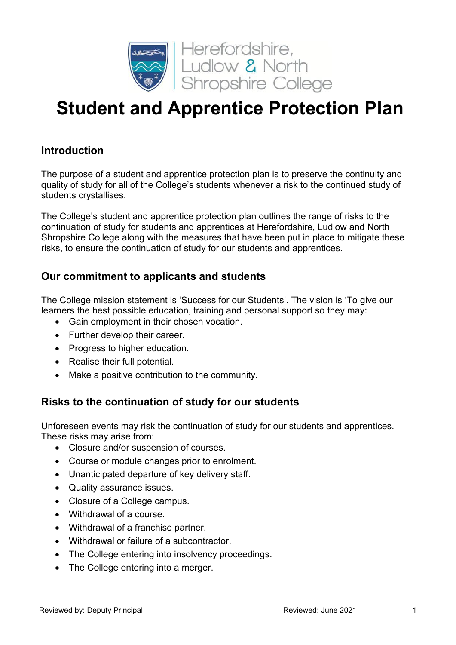

# **Student and Apprentice Protection Plan**

## **Introduction**

The purpose of a student and apprentice protection plan is to preserve the continuity and quality of study for all of the College's students whenever a risk to the continued study of students crystallises.

The College's student and apprentice protection plan outlines the range of risks to the continuation of study for students and apprentices at Herefordshire, Ludlow and North Shropshire College along with the measures that have been put in place to mitigate these risks, to ensure the continuation of study for our students and apprentices.

## **Our commitment to applicants and students**

The College mission statement is 'Success for our Students'. The vision is 'To give our learners the best possible education, training and personal support so they may:

- Gain employment in their chosen vocation.
- Further develop their career.
- Progress to higher education.
- Realise their full potential.
- Make a positive contribution to the community.

# **Risks to the continuation of study for our students**

Unforeseen events may risk the continuation of study for our students and apprentices. These risks may arise from:

- Closure and/or suspension of courses.
- Course or module changes prior to enrolment.
- Unanticipated departure of key delivery staff.
- Quality assurance issues.
- Closure of a College campus.
- Withdrawal of a course.
- Withdrawal of a franchise partner.
- Withdrawal or failure of a subcontractor.
- The College entering into insolvency proceedings.
- The College entering into a merger.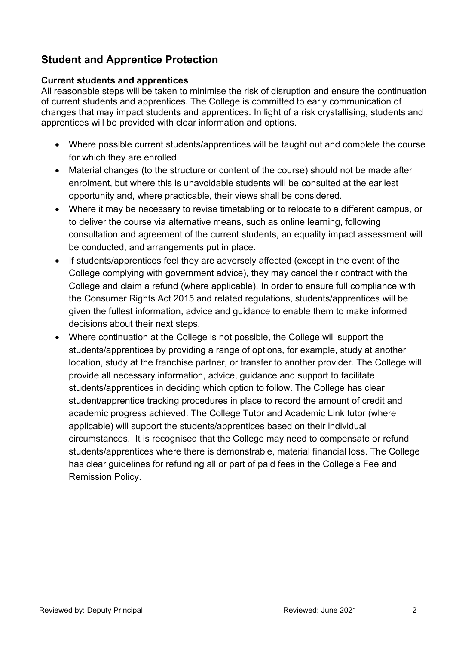# **Student and Apprentice Protection**

#### **Current students and apprentices**

All reasonable steps will be taken to minimise the risk of disruption and ensure the continuation of current students and apprentices. The College is committed to early communication of changes that may impact students and apprentices. In light of a risk crystallising, students and apprentices will be provided with clear information and options.

- Where possible current students/apprentices will be taught out and complete the course for which they are enrolled.
- Material changes (to the structure or content of the course) should not be made after enrolment, but where this is unavoidable students will be consulted at the earliest opportunity and, where practicable, their views shall be considered.
- Where it may be necessary to revise timetabling or to relocate to a different campus, or to deliver the course via alternative means, such as online learning, following consultation and agreement of the current students, an equality impact assessment will be conducted, and arrangements put in place.
- If students/apprentices feel they are adversely affected (except in the event of the College complying with government advice), they may cancel their contract with the College and claim a refund (where applicable). In order to ensure full compliance with the Consumer Rights Act 2015 and related regulations, students/apprentices will be given the fullest information, advice and guidance to enable them to make informed decisions about their next steps.
- Where continuation at the College is not possible, the College will support the students/apprentices by providing a range of options, for example, study at another location, study at the franchise partner, or transfer to another provider. The College will provide all necessary information, advice, guidance and support to facilitate students/apprentices in deciding which option to follow. The College has clear student/apprentice tracking procedures in place to record the amount of credit and academic progress achieved. The College Tutor and Academic Link tutor (where applicable) will support the students/apprentices based on their individual circumstances. It is recognised that the College may need to compensate or refund students/apprentices where there is demonstrable, material financial loss. The College has clear guidelines for refunding all or part of paid fees in the College's Fee and Remission Policy.